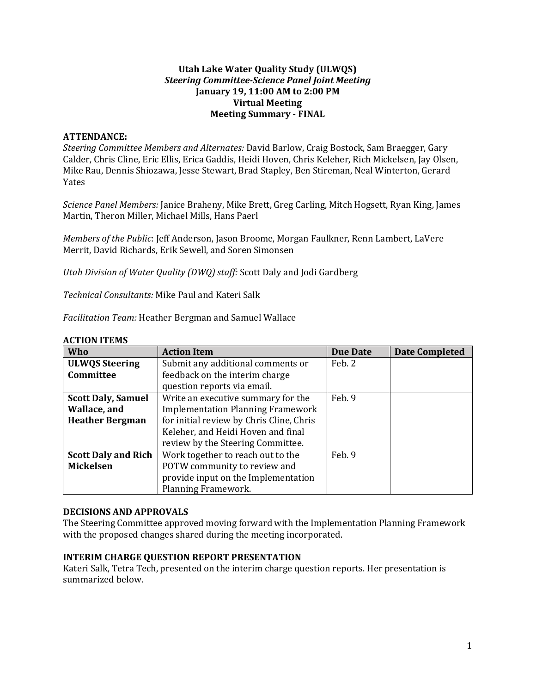#### **Utah Lake Water Quality Study (ULWQS)** *Steering Committee-Science Panel Joint Meeting* **January 19, 11:00 AM to 2:00 PM Virtual Meeting Meeting Summary - FINAL**

#### **ATTENDANCE:**

*Steering Committee Members and Alternates:* David Barlow, Craig Bostock, Sam Braegger, Gary Calder, Chris Cline, Eric Ellis, Erica Gaddis, Heidi Hoven, Chris Keleher, Rich Mickelsen, Jay Olsen, Mike Rau, Dennis Shiozawa, Jesse Stewart, Brad Stapley, Ben Stireman, Neal Winterton, Gerard Yates

*Science Panel Members:* Janice Braheny, Mike Brett, Greg Carling, Mitch Hogsett, Ryan King, James Martin, Theron Miller, Michael Mills, Hans Paerl

*Members of the Public*: Jeff Anderson, Jason Broome, Morgan Faulkner, Renn Lambert, LaVere Merrit, David Richards, Erik Sewell, and Soren Simonsen

*Utah Division of Water Quality (DWQ) staff:* Scott Daly and Jodi Gardberg

*Technical Consultants:* Mike Paul and Kateri Salk

*Facilitation Team:* Heather Bergman and Samuel Wallace

| Who                        | <b>Action Item</b>                       | <b>Due Date</b> | <b>Date Completed</b> |
|----------------------------|------------------------------------------|-----------------|-----------------------|
| <b>ULWQS Steering</b>      | Submit any additional comments or        | Feb. 2          |                       |
| Committee                  | feedback on the interim charge           |                 |                       |
|                            | question reports via email.              |                 |                       |
| <b>Scott Daly, Samuel</b>  | Write an executive summary for the       | Feb. 9          |                       |
| Wallace, and               | <b>Implementation Planning Framework</b> |                 |                       |
| <b>Heather Bergman</b>     | for initial review by Chris Cline, Chris |                 |                       |
|                            | Keleher, and Heidi Hoven and final       |                 |                       |
|                            | review by the Steering Committee.        |                 |                       |
| <b>Scott Daly and Rich</b> | Work together to reach out to the        | Feb. 9          |                       |
| <b>Mickelsen</b>           | POTW community to review and             |                 |                       |
|                            | provide input on the Implementation      |                 |                       |
|                            | Planning Framework.                      |                 |                       |

#### **ACTION ITEMS**

#### **DECISIONS AND APPROVALS**

The Steering Committee approved moving forward with the Implementation Planning Framework with the proposed changes shared during the meeting incorporated.

#### **INTERIM CHARGE QUESTION REPORT PRESENTATION**

Kateri Salk, Tetra Tech, presented on the interim charge question reports. Her presentation is summarized below.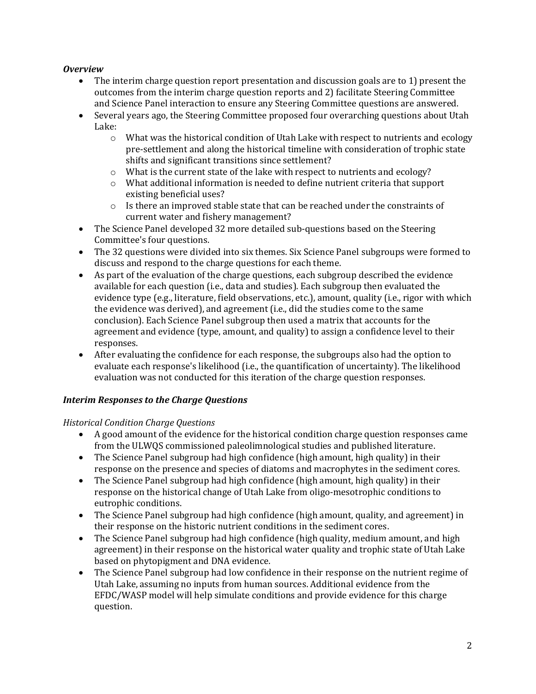# *Overview*

- The interim charge question report presentation and discussion goals are to 1) present the outcomes from the interim charge question reports and 2) facilitate Steering Committee and Science Panel interaction to ensure any Steering Committee questions are answered.
- Several years ago, the Steering Committee proposed four overarching questions about Utah Lake:
	- $\circ$  What was the historical condition of Utah Lake with respect to nutrients and ecology pre-settlement and along the historical timeline with consideration of trophic state shifts and significant transitions since settlement?
	- $\circ$  What is the current state of the lake with respect to nutrients and ecology?
	- o What additional information is needed to define nutrient criteria that support existing beneficial uses?
	- o Is there an improved stable state that can be reached under the constraints of current water and fishery management?
- The Science Panel developed 32 more detailed sub-questions based on the Steering Committee's four questions.
- The 32 questions were divided into six themes. Six Science Panel subgroups were formed to discuss and respond to the charge questions for each theme.
- As part of the evaluation of the charge questions, each subgroup described the evidence available for each question (i.e., data and studies). Each subgroup then evaluated the evidence type (e.g., literature, field observations, etc.), amount, quality (i.e., rigor with which the evidence was derived), and agreement (i.e., did the studies come to the same conclusion). Each Science Panel subgroup then used a matrix that accounts for the agreement and evidence (type, amount, and quality) to assign a confidence level to their responses.
- After evaluating the confidence for each response, the subgroups also had the option to evaluate each response's likelihood (i.e., the quantification of uncertainty). The likelihood evaluation was not conducted for this iteration of the charge question responses.

# *Interim Responses to the Charge Questions*

### *Historical Condition Charge Questions*

- A good amount of the evidence for the historical condition charge question responses came from the ULWQS commissioned paleolimnological studies and published literature.
- The Science Panel subgroup had high confidence (high amount, high quality) in their response on the presence and species of diatoms and macrophytes in the sediment cores.
- The Science Panel subgroup had high confidence (high amount, high quality) in their response on the historical change of Utah Lake from oligo-mesotrophic conditions to eutrophic conditions.
- The Science Panel subgroup had high confidence (high amount, quality, and agreement) in their response on the historic nutrient conditions in the sediment cores.
- The Science Panel subgroup had high confidence (high quality, medium amount, and high agreement) in their response on the historical water quality and trophic state of Utah Lake based on phytopigment and DNA evidence.
- The Science Panel subgroup had low confidence in their response on the nutrient regime of Utah Lake, assuming no inputs from human sources. Additional evidence from the EFDC/WASP model will help simulate conditions and provide evidence for this charge question.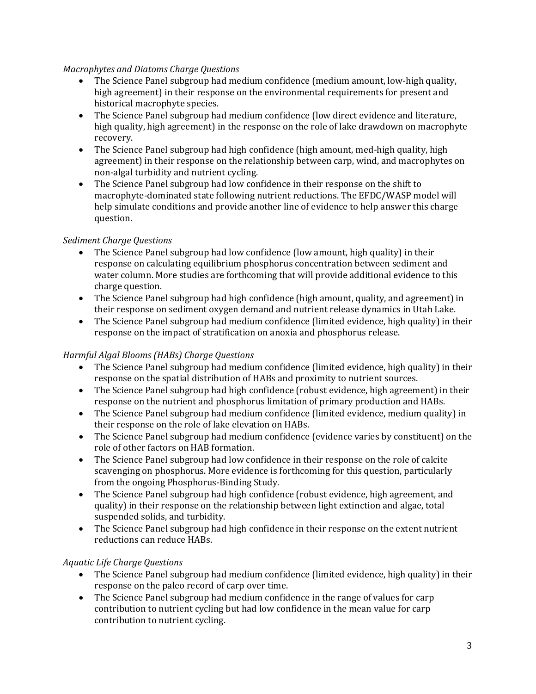### *Macrophytes and Diatoms Charge Questions*

- The Science Panel subgroup had medium confidence (medium amount, low-high quality, high agreement) in their response on the environmental requirements for present and historical macrophyte species.
- The Science Panel subgroup had medium confidence (low direct evidence and literature, high quality, high agreement) in the response on the role of lake drawdown on macrophyte recovery.
- The Science Panel subgroup had high confidence (high amount, med-high quality, high agreement) in their response on the relationship between carp, wind, and macrophytes on non-algal turbidity and nutrient cycling.
- The Science Panel subgroup had low confidence in their response on the shift to macrophyte-dominated state following nutrient reductions. The EFDC/WASP model will help simulate conditions and provide another line of evidence to help answer this charge question.

### *Sediment Charge Questions*

- The Science Panel subgroup had low confidence (low amount, high quality) in their response on calculating equilibrium phosphorus concentration between sediment and water column. More studies are forthcoming that will provide additional evidence to this charge question.
- The Science Panel subgroup had high confidence (high amount, quality, and agreement) in their response on sediment oxygen demand and nutrient release dynamics in Utah Lake.
- The Science Panel subgroup had medium confidence (limited evidence, high quality) in their response on the impact of stratification on anoxia and phosphorus release.

### *Harmful Algal Blooms (HABs) Charge Questions*

- The Science Panel subgroup had medium confidence (limited evidence, high quality) in their response on the spatial distribution of HABs and proximity to nutrient sources.
- The Science Panel subgroup had high confidence (robust evidence, high agreement) in their response on the nutrient and phosphorus limitation of primary production and HABs.
- The Science Panel subgroup had medium confidence (limited evidence, medium quality) in their response on the role of lake elevation on HABs.
- The Science Panel subgroup had medium confidence (evidence varies by constituent) on the role of other factors on HAB formation.
- The Science Panel subgroup had low confidence in their response on the role of calcite scavenging on phosphorus. More evidence is forthcoming for this question, particularly from the ongoing Phosphorus-Binding Study.
- The Science Panel subgroup had high confidence (robust evidence, high agreement, and quality) in their response on the relationship between light extinction and algae, total suspended solids, and turbidity.
- The Science Panel subgroup had high confidence in their response on the extent nutrient reductions can reduce HABs.

### *Aquatic Life Charge Questions*

- The Science Panel subgroup had medium confidence (limited evidence, high quality) in their response on the paleo record of carp over time.
- The Science Panel subgroup had medium confidence in the range of values for carp contribution to nutrient cycling but had low confidence in the mean value for carp contribution to nutrient cycling.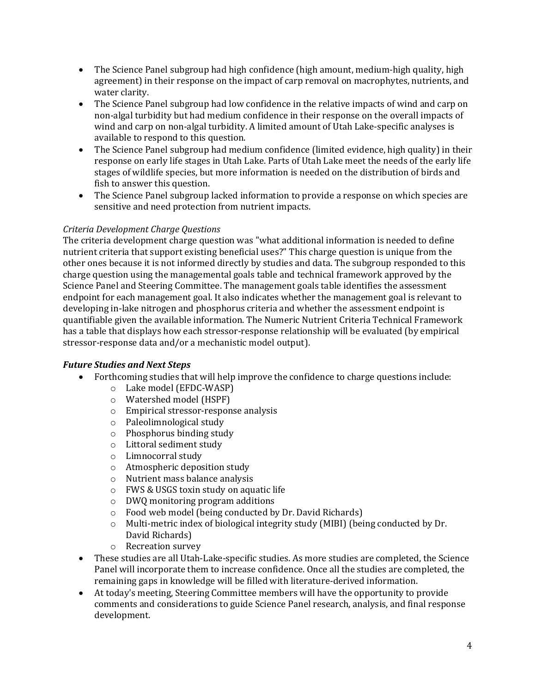- The Science Panel subgroup had high confidence (high amount, medium-high quality, high agreement) in their response on the impact of carp removal on macrophytes, nutrients, and water clarity.
- The Science Panel subgroup had low confidence in the relative impacts of wind and carp on non-algal turbidity but had medium confidence in their response on the overall impacts of wind and carp on non-algal turbidity. A limited amount of Utah Lake-specific analyses is available to respond to this question.
- The Science Panel subgroup had medium confidence (limited evidence, high quality) in their response on early life stages in Utah Lake. Parts of Utah Lake meet the needs of the early life stages of wildlife species, but more information is needed on the distribution of birds and fish to answer this question.
- The Science Panel subgroup lacked information to provide a response on which species are sensitive and need protection from nutrient impacts.

# *Criteria Development Charge Questions*

The criteria development charge question was "what additional information is needed to define nutrient criteria that support existing beneficial uses?" This charge question is unique from the other ones because it is not informed directly by studies and data. The subgroup responded to this charge question using the managemental goals table and technical framework approved by the Science Panel and Steering Committee. The management goals table identifies the assessment endpoint for each management goal. It also indicates whether the management goal is relevant to developing in-lake nitrogen and phosphorus criteria and whether the assessment endpoint is quantifiable given the available information. The Numeric Nutrient Criteria Technical Framework has a table that displays how each stressor-response relationship will be evaluated (by empirical stressor-response data and/or a mechanistic model output).

### *Future Studies and Next Steps*

- Forthcoming studies that will help improve the confidence to charge questions include:
	- o Lake model (EFDC-WASP)
	- o Watershed model (HSPF)
	- o Empirical stressor-response analysis
	- o Paleolimnological study
	- o Phosphorus binding study
	- o Littoral sediment study
	- o Limnocorral study
	- o Atmospheric deposition study
	- o Nutrient mass balance analysis
	- o FWS & USGS toxin study on aquatic life
	- o DWQ monitoring program additions
	- Food web model (being conducted by Dr. David Richards)<br>○ Multi-metric index of biological integrity study (MIBI) (bei
	- Multi-metric index of biological integrity study (MIBI) (being conducted by Dr. David Richards)
	- o Recreation survey
- These studies are all Utah-Lake-specific studies. As more studies are completed, the Science Panel will incorporate them to increase confidence. Once all the studies are completed, the remaining gaps in knowledge will be filled with literature-derived information.
- At today's meeting, Steering Committee members will have the opportunity to provide comments and considerations to guide Science Panel research, analysis, and final response development.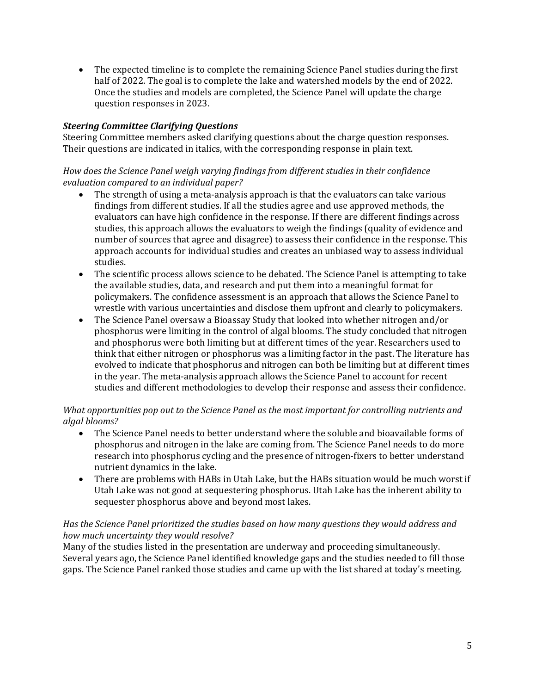• The expected timeline is to complete the remaining Science Panel studies during the first half of 2022. The goal is to complete the lake and watershed models by the end of 2022. Once the studies and models are completed, the Science Panel will update the charge question responses in 2023.

# *Steering Committee Clarifying Questions*

Steering Committee members asked clarifying questions about the charge question responses. Their questions are indicated in italics, with the corresponding response in plain text.

# *How does the Science Panel weigh varying findings from different studies in their confidence evaluation compared to an individual paper?*

- The strength of using a meta-analysis approach is that the evaluators can take various findings from different studies. If all the studies agree and use approved methods, the evaluators can have high confidence in the response. If there are different findings across studies, this approach allows the evaluators to weigh the findings (quality of evidence and number of sources that agree and disagree) to assess their confidence in the response. This approach accounts for individual studies and creates an unbiased way to assess individual studies.
- The scientific process allows science to be debated. The Science Panel is attempting to take the available studies, data, and research and put them into a meaningful format for policymakers. The confidence assessment is an approach that allows the Science Panel to wrestle with various uncertainties and disclose them upfront and clearly to policymakers.
- The Science Panel oversaw a Bioassay Study that looked into whether nitrogen and/or phosphorus were limiting in the control of algal blooms. The study concluded that nitrogen and phosphorus were both limiting but at different times of the year. Researchers used to think that either nitrogen or phosphorus was a limiting factor in the past. The literature has evolved to indicate that phosphorus and nitrogen can both be limiting but at different times in the year. The meta-analysis approach allows the Science Panel to account for recent studies and different methodologies to develop their response and assess their confidence.

### *What opportunities pop out to the Science Panel as the most important for controlling nutrients and algal blooms?*

- The Science Panel needs to better understand where the soluble and bioavailable forms of phosphorus and nitrogen in the lake are coming from. The Science Panel needs to do more research into phosphorus cycling and the presence of nitrogen-fixers to better understand nutrient dynamics in the lake.
- There are problems with HABs in Utah Lake, but the HABs situation would be much worst if Utah Lake was not good at sequestering phosphorus. Utah Lake has the inherent ability to sequester phosphorus above and beyond most lakes.

### *Has the Science Panel prioritized the studies based on how many questions they would address and how much uncertainty they would resolve?*

Many of the studies listed in the presentation are underway and proceeding simultaneously. Several years ago, the Science Panel identified knowledge gaps and the studies needed to fill those gaps. The Science Panel ranked those studies and came up with the list shared at today's meeting.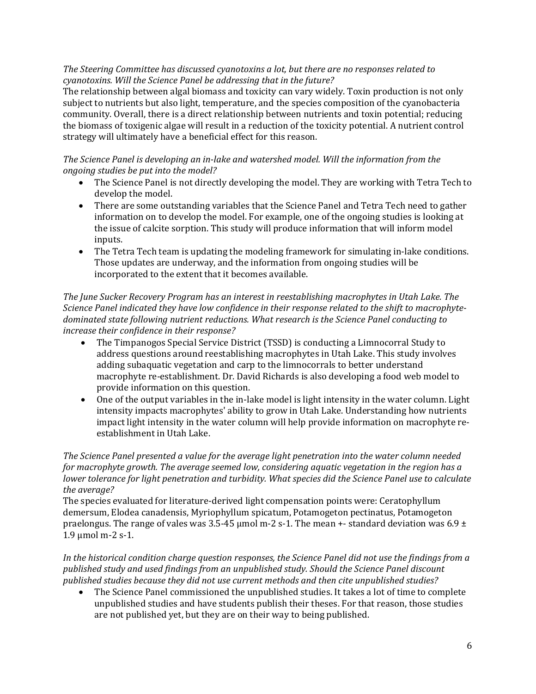### *The Steering Committee has discussed cyanotoxins a lot, but there are no responses related to cyanotoxins. Will the Science Panel be addressing that in the future?*

The relationship between algal biomass and toxicity can vary widely. Toxin production is not only subject to nutrients but also light, temperature, and the species composition of the cyanobacteria community. Overall, there is a direct relationship between nutrients and toxin potential; reducing the biomass of toxigenic algae will result in a reduction of the toxicity potential. A nutrient control strategy will ultimately have a beneficial effect for this reason.

### *The Science Panel is developing an in-lake and watershed model. Will the information from the ongoing studies be put into the model?*

- The Science Panel is not directly developing the model. They are working with Tetra Tech to develop the model.
- There are some outstanding variables that the Science Panel and Tetra Tech need to gather information on to develop the model. For example, one of the ongoing studies is looking at the issue of calcite sorption. This study will produce information that will inform model inputs.
- The Tetra Tech team is updating the modeling framework for simulating in-lake conditions. Those updates are underway, and the information from ongoing studies will be incorporated to the extent that it becomes available.

*The June Sucker Recovery Program has an interest in reestablishing macrophytes in Utah Lake. The Science Panel indicated they have low confidence in their response related to the shift to macrophytedominated state following nutrient reductions. What research is the Science Panel conducting to increase their confidence in their response?*

- The Timpanogos Special Service District (TSSD) is conducting a Limnocorral Study to address questions around reestablishing macrophytes in Utah Lake. This study involves adding subaquatic vegetation and carp to the limnocorrals to better understand macrophyte re-establishment. Dr. David Richards is also developing a food web model to provide information on this question.
- One of the output variables in the in-lake model is light intensity in the water column. Light intensity impacts macrophytes' ability to grow in Utah Lake. Understanding how nutrients impact light intensity in the water column will help provide information on macrophyte reestablishment in Utah Lake.

*The Science Panel presented a value for the average light penetration into the water column needed for macrophyte growth. The average seemed low, considering aquatic vegetation in the region has a lower tolerance for light penetration and turbidity. What species did the Science Panel use to calculate the average?*

The species evaluated for literature-derived light compensation points were: Ceratophyllum demersum, Elodea canadensis, Myriophyllum spicatum, Potamogeton pectinatus, Potamogeton praelongus. The range of vales was 3.5-45 μmol m-2 s-1. The mean +- standard deviation was 6.9 ± 1.9 μmol m-2 s-1.

*In the historical condition charge question responses, the Science Panel did not use the findings from a published study and used findings from an unpublished study. Should the Science Panel discount published studies because they did not use current methods and then cite unpublished studies?*

• The Science Panel commissioned the unpublished studies. It takes a lot of time to complete unpublished studies and have students publish their theses. For that reason, those studies are not published yet, but they are on their way to being published.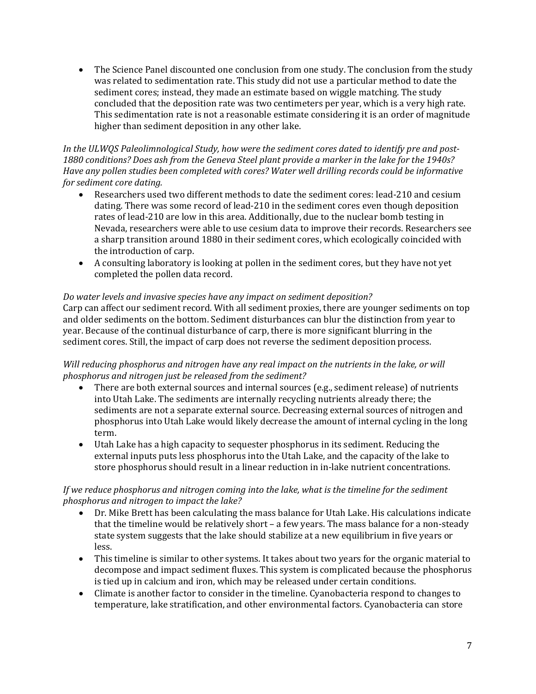• The Science Panel discounted one conclusion from one study. The conclusion from the study was related to sedimentation rate. This study did not use a particular method to date the sediment cores; instead, they made an estimate based on wiggle matching. The study concluded that the deposition rate was two centimeters per year, which is a very high rate. This sedimentation rate is not a reasonable estimate considering it is an order of magnitude higher than sediment deposition in any other lake.

#### *In the ULWQS Paleolimnological Study, how were the sediment cores dated to identify pre and post-1880 conditions? Does ash from the Geneva Steel plant provide a marker in the lake for the 1940s? Have any pollen studies been completed with cores? Water well drilling records could be informative for sediment core dating.*

- Researchers used two different methods to date the sediment cores: lead-210 and cesium dating. There was some record of lead-210 in the sediment cores even though deposition rates of lead-210 are low in this area. Additionally, due to the nuclear bomb testing in Nevada, researchers were able to use cesium data to improve their records. Researchers see a sharp transition around 1880 in their sediment cores, which ecologically coincided with the introduction of carp.
- A consulting laboratory is looking at pollen in the sediment cores, but they have not yet completed the pollen data record.

# *Do water levels and invasive species have any impact on sediment deposition?*

Carp can affect our sediment record. With all sediment proxies, there are younger sediments on top and older sediments on the bottom. Sediment disturbances can blur the distinction from year to year. Because of the continual disturbance of carp, there is more significant blurring in the sediment cores. Still, the impact of carp does not reverse the sediment deposition process.

### *Will reducing phosphorus and nitrogen have any real impact on the nutrients in the lake, or will phosphorus and nitrogen just be released from the sediment?*

- There are both external sources and internal sources (e.g., sediment release) of nutrients into Utah Lake. The sediments are internally recycling nutrients already there; the sediments are not a separate external source. Decreasing external sources of nitrogen and phosphorus into Utah Lake would likely decrease the amount of internal cycling in the long term.
- Utah Lake has a high capacity to sequester phosphorus in its sediment. Reducing the external inputs puts less phosphorus into the Utah Lake, and the capacity of the lake to store phosphorus should result in a linear reduction in in-lake nutrient concentrations.

# *If we reduce phosphorus and nitrogen coming into the lake, what is the timeline for the sediment phosphorus and nitrogen to impact the lake?*

- Dr. Mike Brett has been calculating the mass balance for Utah Lake. His calculations indicate that the timeline would be relatively short – a few years. The mass balance for a non-steady state system suggests that the lake should stabilize at a new equilibrium in five years or less.
- This timeline is similar to other systems. It takes about two years for the organic material to decompose and impact sediment fluxes. This system is complicated because the phosphorus is tied up in calcium and iron, which may be released under certain conditions.
- Climate is another factor to consider in the timeline. Cyanobacteria respond to changes to temperature, lake stratification, and other environmental factors. Cyanobacteria can store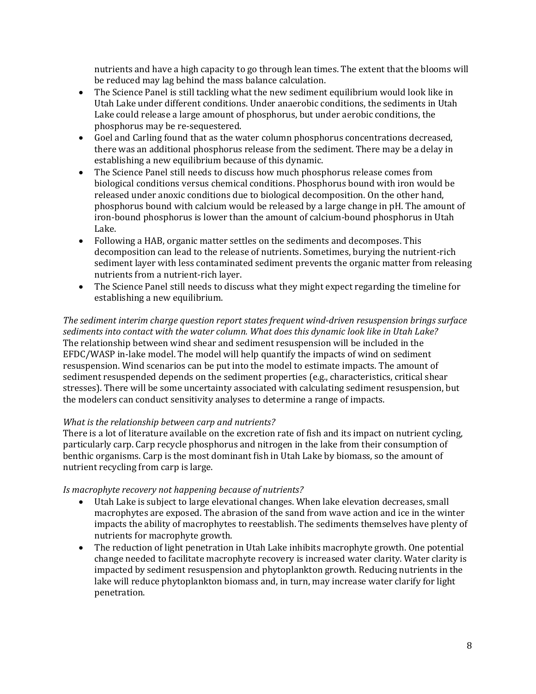nutrients and have a high capacity to go through lean times. The extent that the blooms will be reduced may lag behind the mass balance calculation.

- The Science Panel is still tackling what the new sediment equilibrium would look like in Utah Lake under different conditions. Under anaerobic conditions, the sediments in Utah Lake could release a large amount of phosphorus, but under aerobic conditions, the phosphorus may be re-sequestered.
- Goel and Carling found that as the water column phosphorus concentrations decreased, there was an additional phosphorus release from the sediment. There may be a delay in establishing a new equilibrium because of this dynamic.
- The Science Panel still needs to discuss how much phosphorus release comes from biological conditions versus chemical conditions. Phosphorus bound with iron would be released under anoxic conditions due to biological decomposition. On the other hand, phosphorus bound with calcium would be released by a large change in pH. The amount of iron-bound phosphorus is lower than the amount of calcium-bound phosphorus in Utah Lake.
- Following a HAB, organic matter settles on the sediments and decomposes. This decomposition can lead to the release of nutrients. Sometimes, burying the nutrient-rich sediment layer with less contaminated sediment prevents the organic matter from releasing nutrients from a nutrient-rich layer.
- The Science Panel still needs to discuss what they might expect regarding the timeline for establishing a new equilibrium.

*The sediment interim charge question report states frequent wind-driven resuspension brings surface sediments into contact with the water column. What does this dynamic look like in Utah Lake?* The relationship between wind shear and sediment resuspension will be included in the EFDC/WASP in-lake model. The model will help quantify the impacts of wind on sediment resuspension. Wind scenarios can be put into the model to estimate impacts. The amount of sediment resuspended depends on the sediment properties (e.g., characteristics, critical shear stresses). There will be some uncertainty associated with calculating sediment resuspension, but the modelers can conduct sensitivity analyses to determine a range of impacts.

### *What is the relationship between carp and nutrients?*

There is a lot of literature available on the excretion rate of fish and its impact on nutrient cycling, particularly carp. Carp recycle phosphorus and nitrogen in the lake from their consumption of benthic organisms. Carp is the most dominant fish in Utah Lake by biomass, so the amount of nutrient recycling from carp is large.

### *Is macrophyte recovery not happening because of nutrients?*

- Utah Lake is subject to large elevational changes. When lake elevation decreases, small macrophytes are exposed. The abrasion of the sand from wave action and ice in the winter impacts the ability of macrophytes to reestablish. The sediments themselves have plenty of nutrients for macrophyte growth.
- The reduction of light penetration in Utah Lake inhibits macrophyte growth. One potential change needed to facilitate macrophyte recovery is increased water clarity. Water clarity is impacted by sediment resuspension and phytoplankton growth. Reducing nutrients in the lake will reduce phytoplankton biomass and, in turn, may increase water clarify for light penetration.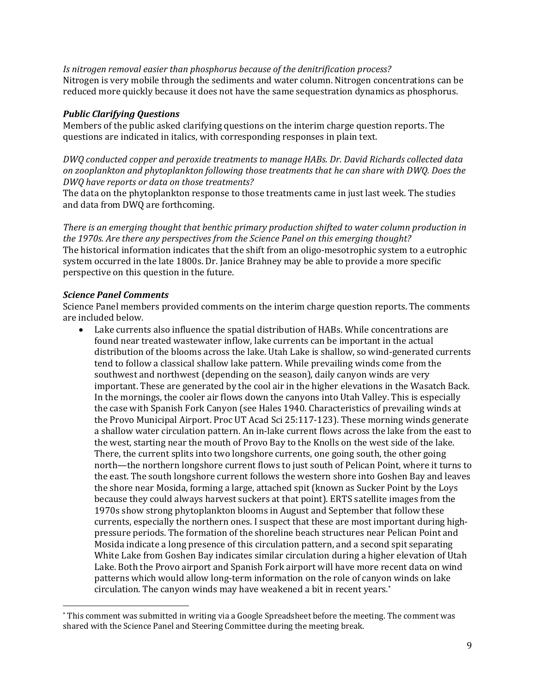*Is nitrogen removal easier than phosphorus because of the denitrification process?* Nitrogen is very mobile through the sediments and water column. Nitrogen concentrations can be reduced more quickly because it does not have the same sequestration dynamics as phosphorus.

#### *Public Clarifying Questions*

Members of the public asked clarifying questions on the interim charge question reports. The questions are indicated in italics, with corresponding responses in plain text.

*DWQ conducted copper and peroxide treatments to manage HABs. Dr. David Richards collected data on zooplankton and phytoplankton following those treatments that he can share with DWQ. Does the DWQ have reports or data on those treatments?*

The data on the phytoplankton response to those treatments came in just last week. The studies and data from DWQ are forthcoming.

*There is an emerging thought that benthic primary production shifted to water column production in the 1970s. Are there any perspectives from the Science Panel on this emerging thought?* The historical information indicates that the shift from an oligo-mesotrophic system to a eutrophic system occurred in the late 1800s. Dr. Janice Brahney may be able to provide a more specific perspective on this question in the future.

### *Science Panel Comments*

Science Panel members provided comments on the interim charge question reports. The comments are included below.

• Lake currents also influence the spatial distribution of HABs. While concentrations are found near treated wastewater inflow, lake currents can be important in the actual distribution of the blooms across the lake. Utah Lake is shallow, so wind-generated currents tend to follow a classical shallow lake pattern. While prevailing winds come from the southwest and northwest (depending on the season), daily canyon winds are very important. These are generated by the cool air in the higher elevations in the Wasatch Back. In the mornings, the cooler air flows down the canyons into Utah Valley. This is especially the case with Spanish Fork Canyon (see Hales 1940. Characteristics of prevailing winds at the Provo Municipal Airport. Proc UT Acad Sci 25:117-123). These morning winds generate a shallow water circulation pattern. An in-lake current flows across the lake from the east to the west, starting near the mouth of Provo Bay to the Knolls on the west side of the lake. There, the current splits into two longshore currents, one going south, the other going north—the northern longshore current flows to just south of Pelican Point, where it turns to the east. The south longshore current follows the western shore into Goshen Bay and leaves the shore near Mosida, forming a large, attached spit (known as Sucker Point by the Loys because they could always harvest suckers at that point). ERTS satellite images from the 1970s show strong phytoplankton blooms in August and September that follow these currents, especially the northern ones. I suspect that these are most important during highpressure periods. The formation of the shoreline beach structures near Pelican Point and Mosida indicate a long presence of this circulation pattern, and a second spit separating White Lake from Goshen Bay indicates similar circulation during a higher elevation of Utah Lake. Both the Provo airport and Spanish Fork airport will have more recent data on wind patterns which would allow long-term information on the role of canyon winds on lake circulation. The canyon winds may have weakened a bit in recent years. [\\*](#page-8-0)

<span id="page-8-0"></span><sup>\*</sup> This comment was submitted in writing via a Google Spreadsheet before the meeting. The comment was shared with the Science Panel and Steering Committee during the meeting break.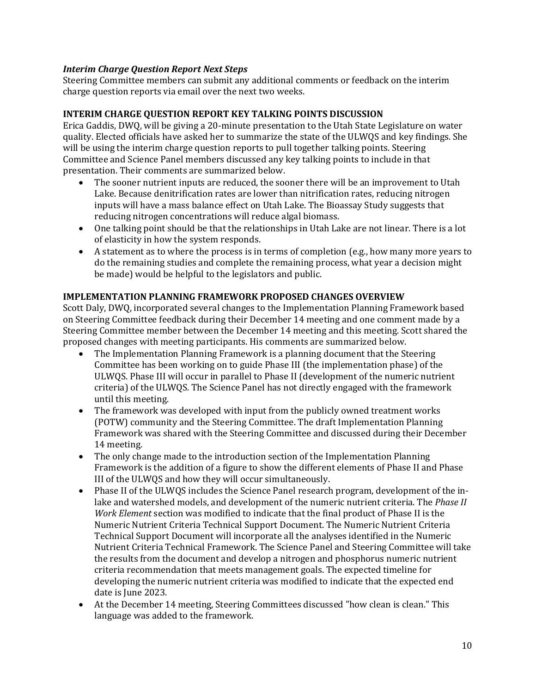### *Interim Charge Question Report Next Steps*

Steering Committee members can submit any additional comments or feedback on the interim charge question reports via email over the next two weeks.

#### **INTERIM CHARGE QUESTION REPORT KEY TALKING POINTS DISCUSSION**

Erica Gaddis, DWQ, will be giving a 20-minute presentation to the Utah State Legislature on water quality. Elected officials have asked her to summarize the state of the ULWQS and key findings. She will be using the interim charge question reports to pull together talking points. Steering Committee and Science Panel members discussed any key talking points to include in that presentation. Their comments are summarized below.

- The sooner nutrient inputs are reduced, the sooner there will be an improvement to Utah Lake. Because denitrification rates are lower than nitrification rates, reducing nitrogen inputs will have a mass balance effect on Utah Lake. The Bioassay Study suggests that reducing nitrogen concentrations will reduce algal biomass.
- One talking point should be that the relationships in Utah Lake are not linear. There is a lot of elasticity in how the system responds.
- A statement as to where the process is in terms of completion (e.g., how many more years to do the remaining studies and complete the remaining process, what year a decision might be made) would be helpful to the legislators and public.

### **IMPLEMENTATION PLANNING FRAMEWORK PROPOSED CHANGES OVERVIEW**

Scott Daly, DWQ, incorporated several changes to the Implementation Planning Framework based on Steering Committee feedback during their December 14 meeting and one comment made by a Steering Committee member between the December 14 meeting and this meeting. Scott shared the proposed changes with meeting participants. His comments are summarized below.

- The Implementation Planning Framework is a planning document that the Steering Committee has been working on to guide Phase III (the implementation phase) of the ULWQS. Phase III will occur in parallel to Phase II (development of the numeric nutrient criteria) of the ULWQS. The Science Panel has not directly engaged with the framework until this meeting.
- The framework was developed with input from the publicly owned treatment works (POTW) community and the Steering Committee. The draft Implementation Planning Framework was shared with the Steering Committee and discussed during their December 14 meeting.
- The only change made to the introduction section of the Implementation Planning Framework is the addition of a figure to show the different elements of Phase II and Phase III of the ULWQS and how they will occur simultaneously.
- Phase II of the ULWQS includes the Science Panel research program, development of the inlake and watershed models, and development of the numeric nutrient criteria. The *Phase II Work Element* section was modified to indicate that the final product of Phase II is the Numeric Nutrient Criteria Technical Support Document. The Numeric Nutrient Criteria Technical Support Document will incorporate all the analyses identified in the Numeric Nutrient Criteria Technical Framework. The Science Panel and Steering Committee will take the results from the document and develop a nitrogen and phosphorus numeric nutrient criteria recommendation that meets management goals. The expected timeline for developing the numeric nutrient criteria was modified to indicate that the expected end date is June 2023.
- At the December 14 meeting, Steering Committees discussed "how clean is clean." This language was added to the framework.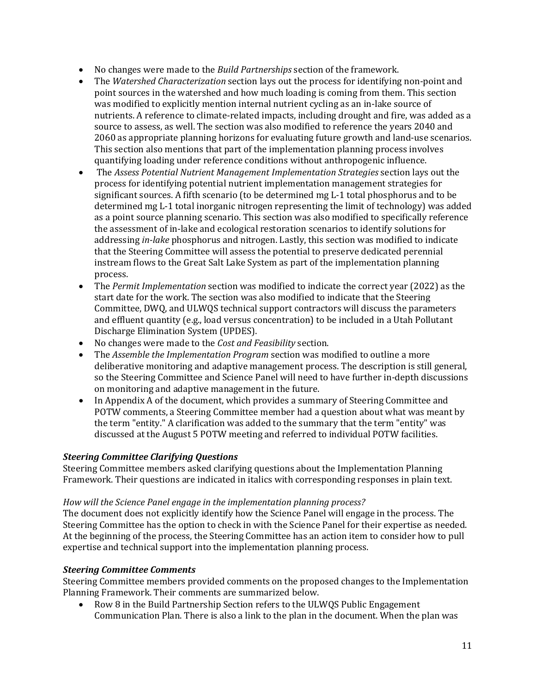- No changes were made to the *Build Partnerships* section of the framework.
- The *Watershed Characterization* section lays out the process for identifying non-point and point sources in the watershed and how much loading is coming from them. This section was modified to explicitly mention internal nutrient cycling as an in-lake source of nutrients. A reference to climate-related impacts, including drought and fire, was added as a source to assess, as well. The section was also modified to reference the years 2040 and 2060 as appropriate planning horizons for evaluating future growth and land-use scenarios. This section also mentions that part of the implementation planning process involves quantifying loading under reference conditions without anthropogenic influence.
- The *Assess Potential Nutrient Management Implementation Strategies section lays out the* process for identifying potential nutrient implementation management strategies for significant sources. A fifth scenario (to be determined mg L-1 total phosphorus and to be determined mg L-1 total inorganic nitrogen representing the limit of technology) was added as a point source planning scenario. This section was also modified to specifically reference the assessment of in-lake and ecological restoration scenarios to identify solutions for addressing *in-lake* phosphorus and nitrogen. Lastly, this section was modified to indicate that the Steering Committee will assess the potential to preserve dedicated perennial instream flows to the Great Salt Lake System as part of the implementation planning process.
- The *Permit Implementation* section was modified to indicate the correct year (2022) as the start date for the work. The section was also modified to indicate that the Steering Committee, DWQ, and ULWQS technical support contractors will discuss the parameters and effluent quantity (e.g., load versus concentration) to be included in a Utah Pollutant Discharge Elimination System (UPDES).
- No changes were made to the *Cost and Feasibility* section.
- The *Assemble the Implementation Program* section was modified to outline a more deliberative monitoring and adaptive management process. The description is still general, so the Steering Committee and Science Panel will need to have further in-depth discussions on monitoring and adaptive management in the future.
- In Appendix A of the document, which provides a summary of Steering Committee and POTW comments, a Steering Committee member had a question about what was meant by the term "entity." A clarification was added to the summary that the term "entity" was discussed at the August 5 POTW meeting and referred to individual POTW facilities.

# *Steering Committee Clarifying Questions*

Steering Committee members asked clarifying questions about the Implementation Planning Framework. Their questions are indicated in italics with corresponding responses in plain text.

### *How will the Science Panel engage in the implementation planning process?*

The document does not explicitly identify how the Science Panel will engage in the process. The Steering Committee has the option to check in with the Science Panel for their expertise as needed. At the beginning of the process, the Steering Committee has an action item to consider how to pull expertise and technical support into the implementation planning process.

### *Steering Committee Comments*

Steering Committee members provided comments on the proposed changes to the Implementation Planning Framework. Their comments are summarized below.<br>• Row 8 in the Build Partnership Section refers to the ULN

• Row 8 in the Build Partnership Section refers to the ULWQS Public Engagement Communication Plan. There is also a link to the plan in the document. When the plan was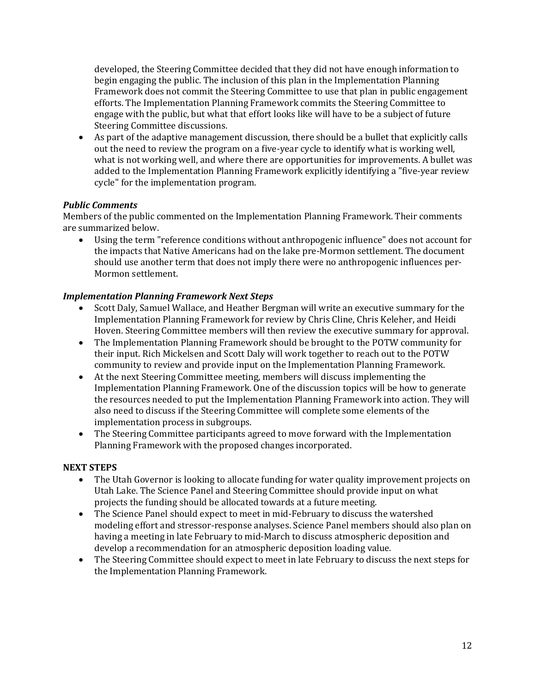developed, the Steering Committee decided that they did not have enough information to begin engaging the public. The inclusion of this plan in the Implementation Planning Framework does not commit the Steering Committee to use that plan in public engagement efforts. The Implementation Planning Framework commits the Steering Committee to engage with the public, but what that effort looks like will have to be a subject of future Steering Committee discussions.

• As part of the adaptive management discussion, there should be a bullet that explicitly calls out the need to review the program on a five-year cycle to identify what is working well, what is not working well, and where there are opportunities for improvements. A bullet was added to the Implementation Planning Framework explicitly identifying a "five-year review cycle" for the implementation program.

# *Public Comments*

Members of the public commented on the Implementation Planning Framework. Their comments are summarized below.

• Using the term "reference conditions without anthropogenic influence" does not account for the impacts that Native Americans had on the lake pre-Mormon settlement. The document should use another term that does not imply there were no anthropogenic influences per-Mormon settlement.

# *Implementation Planning Framework Next Steps*

- Scott Daly, Samuel Wallace, and Heather Bergman will write an executive summary for the Implementation Planning Framework for review by Chris Cline, Chris Keleher, and Heidi Hoven. Steering Committee members will then review the executive summary for approval.
- The Implementation Planning Framework should be brought to the POTW community for their input. Rich Mickelsen and Scott Daly will work together to reach out to the POTW community to review and provide input on the Implementation Planning Framework.
- At the next Steering Committee meeting, members will discuss implementing the Implementation Planning Framework. One of the discussion topics will be how to generate the resources needed to put the Implementation Planning Framework into action. They will also need to discuss if the Steering Committee will complete some elements of the implementation process in subgroups.
- The Steering Committee participants agreed to move forward with the Implementation Planning Framework with the proposed changes incorporated.

### **NEXT STEPS**

- The Utah Governor is looking to allocate funding for water quality improvement projects on Utah Lake. The Science Panel and Steering Committee should provide input on what projects the funding should be allocated towards at a future meeting.
- The Science Panel should expect to meet in mid-February to discuss the watershed modeling effort and stressor-response analyses. Science Panel members should also plan on having a meeting in late February to mid-March to discuss atmospheric deposition and develop a recommendation for an atmospheric deposition loading value.
- The Steering Committee should expect to meet in late February to discuss the next steps for the Implementation Planning Framework.